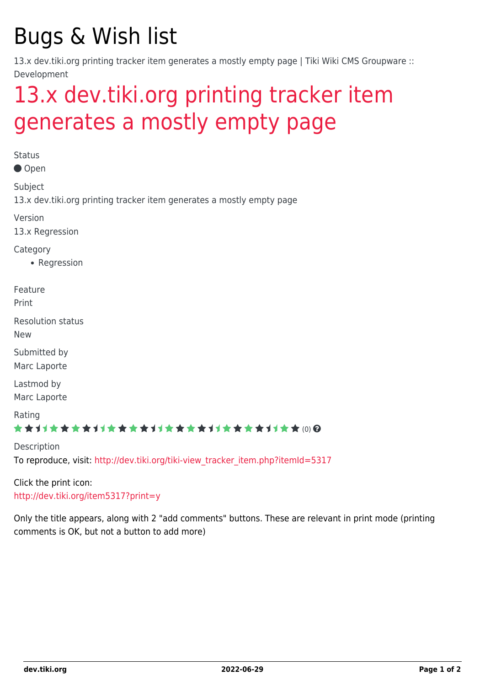# Bugs & Wish list

13.x dev.tiki.org printing tracker item generates a mostly empty page | Tiki Wiki CMS Groupware :: Development

# [13.x dev.tiki.org printing tracker item](https://dev.tiki.org/item5324-13-x-dev-tiki-org-printing-tracker-item-generates-a-mostly-empty-page) [generates a mostly empty page](https://dev.tiki.org/item5324-13-x-dev-tiki-org-printing-tracker-item-generates-a-mostly-empty-page)

**Status** 

Open

Subject

13.x dev.tiki.org printing tracker item generates a mostly empty page

Version

13.x Regression

Category

• Regression

Feature

Print

Resolution status

New

Submitted by Marc Laporte

Lastmod by Marc Laporte

Rating

### ★★11★★★★11★★★★11★★★★11★★★★+11★★ (0) @

Description To reproduce, visit: [http://dev.tiki.org/tiki-view\\_tracker\\_item.php?itemId=5317](http://dev.tiki.org/tiki-view_tracker_item.php?itemId=5317)

Click the print icon: <http://dev.tiki.org/item5317?print=y>

Only the title appears, along with 2 "add comments" buttons. These are relevant in print mode (printing comments is OK, but not a button to add more)